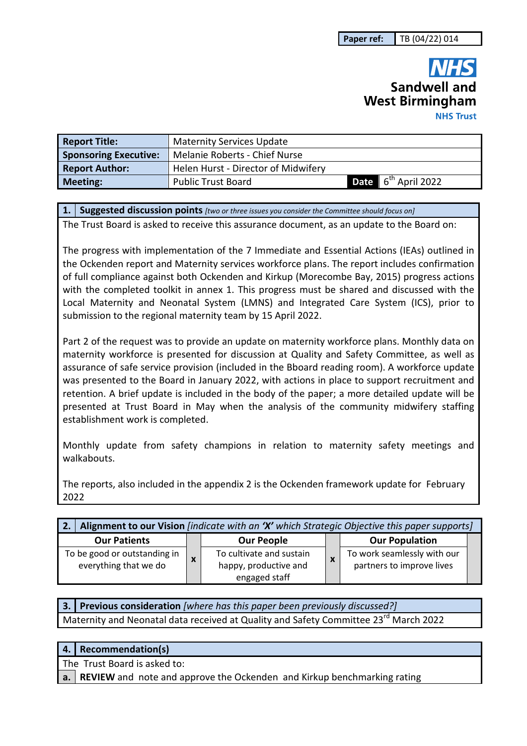# Sandwell and **West Birmingham NHS Trust**

| <b>Report Title:</b>         | <b>Maternity Services Update</b>    |                                 |
|------------------------------|-------------------------------------|---------------------------------|
| <b>Sponsoring Executive:</b> | Melanie Roberts - Chief Nurse       |                                 |
| <b>Report Author:</b>        | Helen Hurst - Director of Midwifery |                                 |
| <b>Meeting:</b>              | <b>Public Trust Board</b>           | Date 6 <sup>th</sup> April 2022 |

**1. Suggested discussion points** *[two or three issues you consider the Committee should focus on]* 

The Trust Board is asked to receive this assurance document, as an update to the Board on:

The progress with implementation of the 7 Immediate and Essential Actions (IEAs) outlined in the Ockenden report and Maternity services workforce plans. The report includes confirmation of full compliance against both Ockenden and Kirkup (Morecombe Bay, 2015) progress actions with the completed toolkit in annex 1. This progress must be shared and discussed with the Local Maternity and Neonatal System (LMNS) and Integrated Care System (ICS), prior to submission to the regional maternity team by 15 April 2022.

Part 2 of the request was to provide an update on maternity workforce plans. Monthly data on maternity workforce is presented for discussion at Quality and Safety Committee, as well as assurance of safe service provision (included in the Bboard reading room). A workforce update was presented to the Board in January 2022, with actions in place to support recruitment and retention. A brief update is included in the body of the paper; a more detailed update will be presented at Trust Board in May when the analysis of the community midwifery staffing establishment work is completed.

Monthly update from safety champions in relation to maternity safety meetings and walkabouts.

The reports, also included in the appendix 2 is the Ockenden framework update for February 2022

| Alignment to our Vision [indicate with an 'X' which Strategic Objective this paper supports] |   |                                                                    |  |                                                          |  |
|----------------------------------------------------------------------------------------------|---|--------------------------------------------------------------------|--|----------------------------------------------------------|--|
| <b>Our Patients</b>                                                                          |   | <b>Our People</b>                                                  |  | <b>Our Population</b>                                    |  |
| To be good or outstanding in<br>everything that we do                                        | X | To cultivate and sustain<br>happy, productive and<br>engaged staff |  | To work seamlessly with our<br>partners to improve lives |  |

| 3. Previous consideration [where has this paper been previously discussed?]                      |
|--------------------------------------------------------------------------------------------------|
| Maternity and Neonatal data received at Quality and Safety Committee 23 <sup>rd</sup> March 2022 |

## **4. Recommendation(s)**

The Trust Board is asked to:

**a. REVIEW** and note and approve the Ockenden and Kirkup benchmarking rating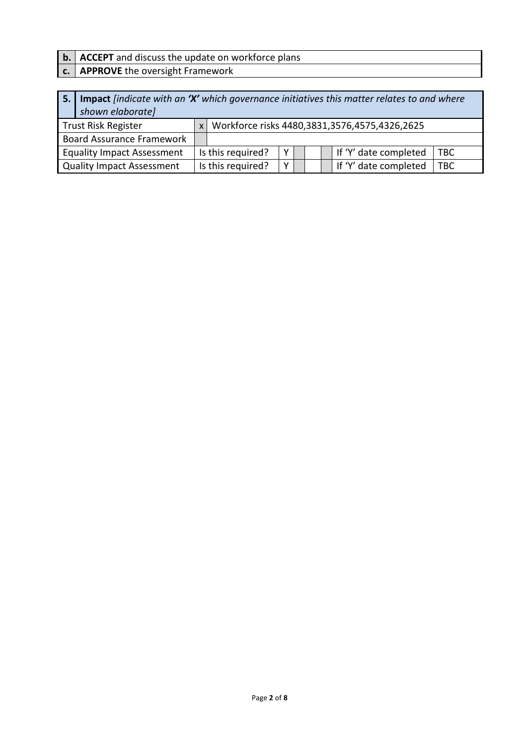**b. ACCEPT** and discuss the update on workforce plans

## **c. APPROVE** the oversight Framework

| 5. I | Impact [indicate with an 'X' which governance initiatives this matter relates to and where<br>shown elaborate] |              |                   |   |  |  |                                               |
|------|----------------------------------------------------------------------------------------------------------------|--------------|-------------------|---|--|--|-----------------------------------------------|
|      | <b>Trust Risk Register</b>                                                                                     | $\mathsf{x}$ |                   |   |  |  | Workforce risks 4480,3831,3576,4575,4326,2625 |
|      | <b>Board Assurance Framework</b>                                                                               |              |                   |   |  |  |                                               |
|      | <b>Equality Impact Assessment</b>                                                                              |              | Is this required? | Y |  |  | If 'Y' date completed<br><b>TBC</b>           |
|      | <b>Quality Impact Assessment</b>                                                                               |              | Is this required? |   |  |  | If 'Y' date completed<br><b>TBC</b>           |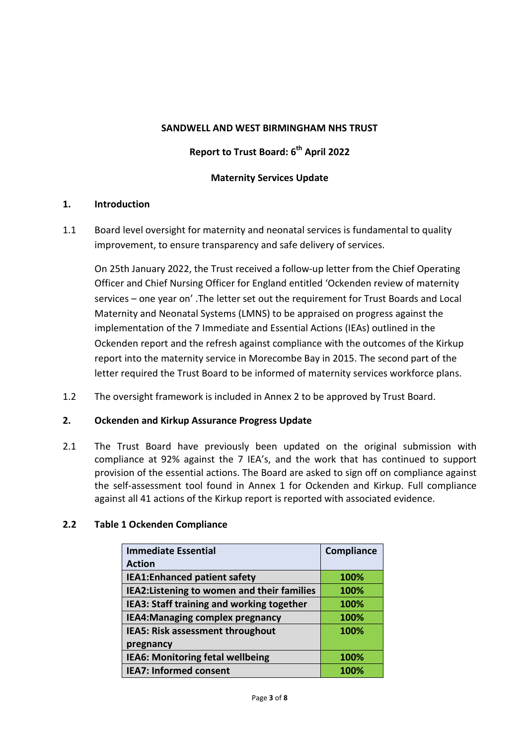#### **SANDWELL AND WEST BIRMINGHAM NHS TRUST**

# **Report to Trust Board: 6th April 2022**

#### **Maternity Services Update**

#### **1. Introduction**

1.1 Board level oversight for maternity and neonatal services is fundamental to quality improvement, to ensure transparency and safe delivery of services.

On 25th January 2022, the Trust received a follow-up letter from the Chief Operating Officer and Chief Nursing Officer for England entitled 'Ockenden review of maternity services – one year on' .The letter set out the requirement for Trust Boards and Local Maternity and Neonatal Systems (LMNS) to be appraised on progress against the implementation of the 7 Immediate and Essential Actions (IEAs) outlined in the Ockenden report and the refresh against compliance with the outcomes of the Kirkup report into the maternity service in Morecombe Bay in 2015. The second part of the letter required the Trust Board to be informed of maternity services workforce plans.

1.2 The oversight framework is included in Annex 2 to be approved by Trust Board.

#### **2. Ockenden and Kirkup Assurance Progress Update**

2.1 The Trust Board have previously been updated on the original submission with compliance at 92% against the 7 IEA's, and the work that has continued to support provision of the essential actions. The Board are asked to sign off on compliance against the self-assessment tool found in Annex 1 for Ockenden and Kirkup. Full compliance against all 41 actions of the Kirkup report is reported with associated evidence.

| <b>Immediate Essential</b>                  | Compliance |
|---------------------------------------------|------------|
| <b>Action</b>                               |            |
| <b>IEA1:Enhanced patient safety</b>         | 100%       |
| IEA2: Listening to women and their families | 100%       |
| IEA3: Staff training and working together   | 100%       |
| <b>IEA4:Managing complex pregnancy</b>      | 100%       |
| <b>IEA5: Risk assessment throughout</b>     | 100%       |
| pregnancy                                   |            |
| IEA6: Monitoring fetal wellbeing            | 100%       |
| <b>IEA7: Informed consent</b>               | 100%       |

#### **2.2 Table 1 Ockenden Compliance**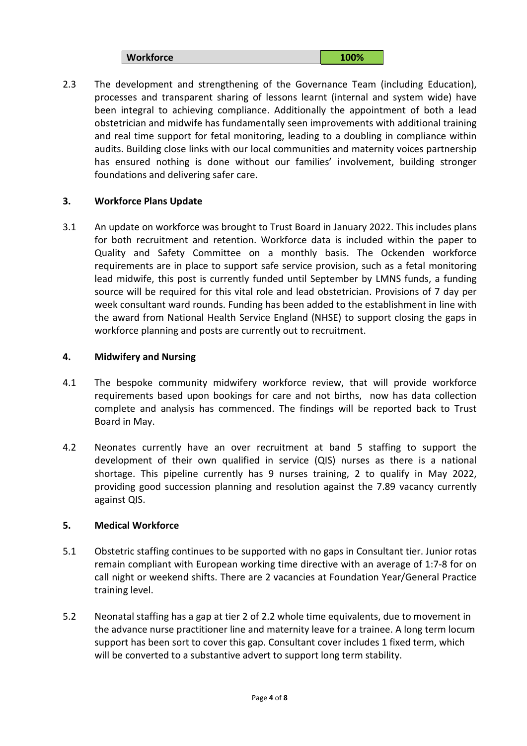**Workforce 100% 100%** 

2.3 The development and strengthening of the Governance Team (including Education), processes and transparent sharing of lessons learnt (internal and system wide) have been integral to achieving compliance. Additionally the appointment of both a lead obstetrician and midwife has fundamentally seen improvements with additional training and real time support for fetal monitoring, leading to a doubling in compliance within audits. Building close links with our local communities and maternity voices partnership has ensured nothing is done without our families' involvement, building stronger foundations and delivering safer care.

#### **3. Workforce Plans Update**

3.1 An update on workforce was brought to Trust Board in January 2022. This includes plans for both recruitment and retention. Workforce data is included within the paper to Quality and Safety Committee on a monthly basis. The Ockenden workforce requirements are in place to support safe service provision, such as a fetal monitoring lead midwife, this post is currently funded until September by LMNS funds, a funding source will be required for this vital role and lead obstetrician. Provisions of 7 day per week consultant ward rounds. Funding has been added to the establishment in line with the award from National Health Service England (NHSE) to support closing the gaps in workforce planning and posts are currently out to recruitment.

#### **4. Midwifery and Nursing**

- 4.1 The bespoke community midwifery workforce review, that will provide workforce requirements based upon bookings for care and not births, now has data collection complete and analysis has commenced. The findings will be reported back to Trust Board in May.
- 4.2 Neonates currently have an over recruitment at band 5 staffing to support the development of their own qualified in service (QIS) nurses as there is a national shortage. This pipeline currently has 9 nurses training, 2 to qualify in May 2022, providing good succession planning and resolution against the 7.89 vacancy currently against QIS.

#### **5. Medical Workforce**

- 5.1 Obstetric staffing continues to be supported with no gaps in Consultant tier. Junior rotas remain compliant with European working time directive with an average of 1:7-8 for on call night or weekend shifts. There are 2 vacancies at Foundation Year/General Practice training level.
- 5.2 Neonatal staffing has a gap at tier 2 of 2.2 whole time equivalents, due to movement in the advance nurse practitioner line and maternity leave for a trainee. A long term locum support has been sort to cover this gap. Consultant cover includes 1 fixed term, which will be converted to a substantive advert to support long term stability.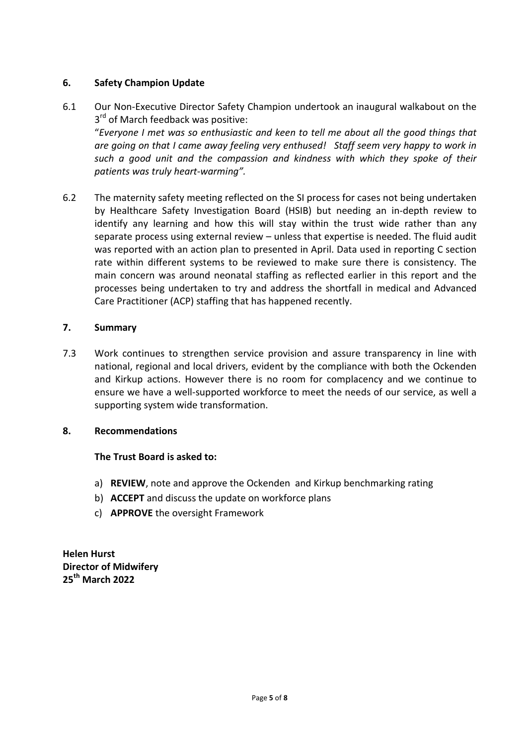#### **6. Safety Champion Update**

- 6.1 Our Non-Executive Director Safety Champion undertook an inaugural walkabout on the 3<sup>rd</sup> of March feedback was positive: "*Everyone I met was so enthusiastic and keen to tell me about all the good things that are going on that I came away feeling very enthused! Staff seem very happy to work in such a good unit and the compassion and kindness with which they spoke of their patients was truly heart-warming".*
- 6.2 The maternity safety meeting reflected on the SI process for cases not being undertaken by Healthcare Safety Investigation Board (HSIB) but needing an in-depth review to identify any learning and how this will stay within the trust wide rather than any separate process using external review – unless that expertise is needed. The fluid audit was reported with an action plan to presented in April. Data used in reporting C section rate within different systems to be reviewed to make sure there is consistency. The main concern was around neonatal staffing as reflected earlier in this report and the processes being undertaken to try and address the shortfall in medical and Advanced Care Practitioner (ACP) staffing that has happened recently.

#### **7. Summary**

7.3 Work continues to strengthen service provision and assure transparency in line with national, regional and local drivers, evident by the compliance with both the Ockenden and Kirkup actions. However there is no room for complacency and we continue to ensure we have a well-supported workforce to meet the needs of our service, as well a supporting system wide transformation.

#### **8. Recommendations**

#### **The Trust Board is asked to:**

- a) **REVIEW**, note and approve the Ockenden and Kirkup benchmarking rating
- b) **ACCEPT** and discuss the update on workforce plans
- c) **APPROVE** the oversight Framework

**Helen Hurst Director of Midwifery 25th March 2022**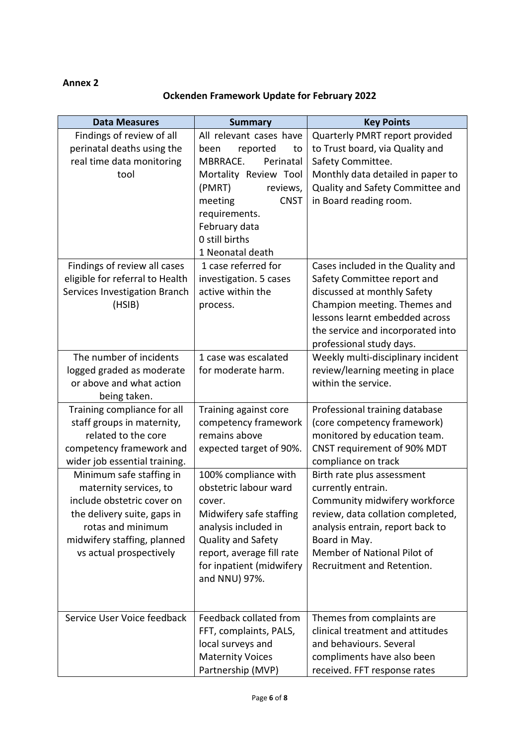#### **Annex 2**

# **Ockenden Framework Update for February 2022**

| <b>Data Measures</b>                                 | <b>Summary</b>                             | <b>Key Points</b>                                                  |  |
|------------------------------------------------------|--------------------------------------------|--------------------------------------------------------------------|--|
| Findings of review of all                            | All relevant cases have                    | Quarterly PMRT report provided                                     |  |
| perinatal deaths using the                           | reported<br>been<br>to                     | to Trust board, via Quality and                                    |  |
| real time data monitoring                            | MBRRACE.<br>Perinatal                      | Safety Committee.                                                  |  |
| tool                                                 | Mortality Review Tool                      | Monthly data detailed in paper to                                  |  |
|                                                      | (PMRT)<br>reviews,                         | Quality and Safety Committee and                                   |  |
|                                                      | <b>CNST</b><br>meeting                     | in Board reading room.                                             |  |
|                                                      | requirements.                              |                                                                    |  |
|                                                      | February data                              |                                                                    |  |
|                                                      | 0 still births                             |                                                                    |  |
|                                                      | 1 Neonatal death                           |                                                                    |  |
| Findings of review all cases                         | 1 case referred for                        | Cases included in the Quality and                                  |  |
| eligible for referral to Health                      | investigation. 5 cases                     | Safety Committee report and                                        |  |
| Services Investigation Branch                        | active within the                          | discussed at monthly Safety                                        |  |
| (HSIB)                                               | process.                                   | Champion meeting. Themes and                                       |  |
|                                                      |                                            | lessons learnt embedded across                                     |  |
|                                                      |                                            | the service and incorporated into                                  |  |
|                                                      |                                            | professional study days.                                           |  |
| The number of incidents                              | 1 case was escalated                       | Weekly multi-disciplinary incident                                 |  |
| logged graded as moderate                            | for moderate harm.                         | review/learning meeting in place                                   |  |
| or above and what action                             |                                            | within the service.                                                |  |
| being taken.                                         |                                            |                                                                    |  |
| Training compliance for all                          | Training against core                      | Professional training database                                     |  |
| staff groups in maternity,                           | competency framework                       | (core competency framework)                                        |  |
| related to the core                                  | remains above                              | monitored by education team.                                       |  |
| competency framework and                             | expected target of 90%.                    | CNST requirement of 90% MDT                                        |  |
| wider job essential training.                        |                                            | compliance on track                                                |  |
| Minimum safe staffing in                             | 100% compliance with                       | Birth rate plus assessment                                         |  |
| maternity services, to<br>include obstetric cover on | obstetric labour ward                      | currently entrain.                                                 |  |
|                                                      | cover.                                     | Community midwifery workforce<br>review, data collation completed, |  |
| the delivery suite, gaps in<br>rotas and minimum     | Midwifery safe staffing                    |                                                                    |  |
| midwifery staffing, planned                          | analysis included in<br>Quality and Safety | analysis entrain, report back to<br>Board in May.                  |  |
| vs actual prospectively                              | report, average fill rate                  | Member of National Pilot of                                        |  |
|                                                      | for inpatient (midwifery                   | Recruitment and Retention.                                         |  |
|                                                      | and NNU) 97%.                              |                                                                    |  |
|                                                      |                                            |                                                                    |  |
|                                                      |                                            |                                                                    |  |
| Service User Voice feedback                          | Feedback collated from                     | Themes from complaints are                                         |  |
|                                                      | FFT, complaints, PALS,                     | clinical treatment and attitudes                                   |  |
|                                                      | local surveys and                          | and behaviours. Several                                            |  |
|                                                      | <b>Maternity Voices</b>                    | compliments have also been                                         |  |
|                                                      | Partnership (MVP)                          | received. FFT response rates                                       |  |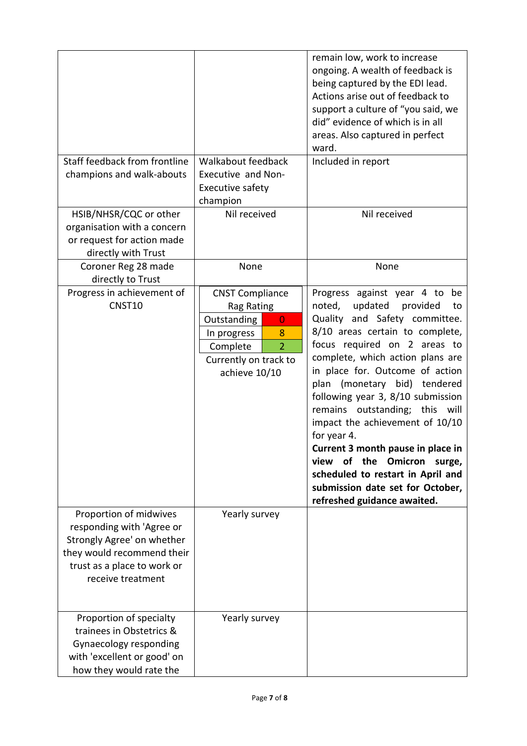|                                                                                                                                                                     |                                                                                                                                                                   | remain low, work to increase<br>ongoing. A wealth of feedback is<br>being captured by the EDI lead.<br>Actions arise out of feedback to<br>support a culture of "you said, we<br>did" evidence of which is in all<br>areas. Also captured in perfect<br>ward.                                                                                                                                                                                                                                                                                                                                          |
|---------------------------------------------------------------------------------------------------------------------------------------------------------------------|-------------------------------------------------------------------------------------------------------------------------------------------------------------------|--------------------------------------------------------------------------------------------------------------------------------------------------------------------------------------------------------------------------------------------------------------------------------------------------------------------------------------------------------------------------------------------------------------------------------------------------------------------------------------------------------------------------------------------------------------------------------------------------------|
| Staff feedback from frontline<br>champions and walk-abouts                                                                                                          | Walkabout feedback<br><b>Executive and Non-</b><br>Executive safety<br>champion                                                                                   | Included in report                                                                                                                                                                                                                                                                                                                                                                                                                                                                                                                                                                                     |
| HSIB/NHSR/CQC or other<br>organisation with a concern<br>or request for action made<br>directly with Trust                                                          | Nil received                                                                                                                                                      | Nil received                                                                                                                                                                                                                                                                                                                                                                                                                                                                                                                                                                                           |
| Coroner Reg 28 made<br>directly to Trust                                                                                                                            | None                                                                                                                                                              | None                                                                                                                                                                                                                                                                                                                                                                                                                                                                                                                                                                                                   |
| Progress in achievement of<br>CNST10                                                                                                                                | <b>CNST Compliance</b><br>Rag Rating<br>Outstanding<br>$\overline{0}$<br>In progress<br>8<br>$\overline{2}$<br>Complete<br>Currently on track to<br>achieve 10/10 | Progress against year 4 to be<br>noted,<br>updated<br>provided<br>to<br>Quality and Safety committee.<br>8/10 areas certain to complete,<br>focus required on 2 areas to<br>complete, which action plans are<br>in place for. Outcome of action<br>plan (monetary bid) tendered<br>following year 3, 8/10 submission<br>remains outstanding; this will<br>impact the achievement of 10/10<br>for year 4.<br>Current 3 month pause in place in<br>the<br><b>Omicron</b><br>view<br>of<br>surge,<br>scheduled to restart in April and<br>submission date set for October,<br>refreshed guidance awaited. |
| Proportion of midwives<br>responding with 'Agree or<br>Strongly Agree' on whether<br>they would recommend their<br>trust as a place to work or<br>receive treatment | Yearly survey                                                                                                                                                     |                                                                                                                                                                                                                                                                                                                                                                                                                                                                                                                                                                                                        |
| Proportion of specialty<br>trainees in Obstetrics &<br>Gynaecology responding<br>with 'excellent or good' on<br>how they would rate the                             | Yearly survey                                                                                                                                                     |                                                                                                                                                                                                                                                                                                                                                                                                                                                                                                                                                                                                        |